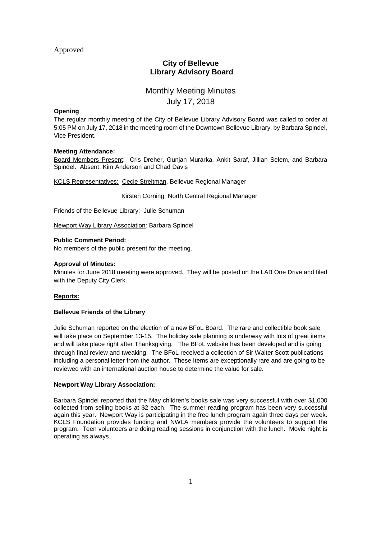# Approved

# **City of Bellevue Library Advisory Board**

# Monthly Meeting Minutes July 17, 2018

# **Opening**

The regular monthly meeting of the City of Bellevue Library Advisory Board was called to order at 5:05 PM on July 17, 2018 in the meeting room of the Downtown Bellevue Library, by Barbara Spindel, Vice President.

# **Meeting Attendance:**

Board Members Present: Cris Dreher, Gunjan Murarka, Ankit Saraf, Jillian Selem, and Barbara Spindel. Absent: Kim Anderson and Chad Davis

KCLS Representatives: Cecie Streitman, Bellevue Regional Manager

Kirsten Corning, North Central Regional Manager

Friends of the Bellevue Library: Julie Schuman

Newport Way Library Association: Barbara Spindel

# **Public Comment Period:**

No members of the public present for the meeting..

# **Approval of Minutes:**

Minutes for June 2018 meeting were approved. They will be posted on the LAB One Drive and filed with the Deputy City Clerk.

# **Reports:**

#### **Bellevue Friends of the Library**

Julie Schuman reported on the election of a new BFoL Board. The rare and collectible book sale will take place on September 13-15. The holiday sale planning is underway with lots of great items and will take place right after Thanksgiving. The BFoL website has been developed and is going through final review and tweaking. The BFoL received a collection of Sir Walter Scott publications including a personal letter from the author. These Items are exceptionally rare and are going to be reviewed with an international auction house to determine the value for sale.

#### **Newport Way Library Association:**

Barbara Spindel reported that the May children's books sale was very successful with over \$1,000 collected from selling books at \$2 each. The summer reading program has been very successful again this year. Newport Way is participating in the free lunch program again three days per week. KCLS Foundation provides funding and NWLA members provide the volunteers to support the program. Teen volunteers are doing reading sessions in conjunction with the lunch. Movie night is operating as always.